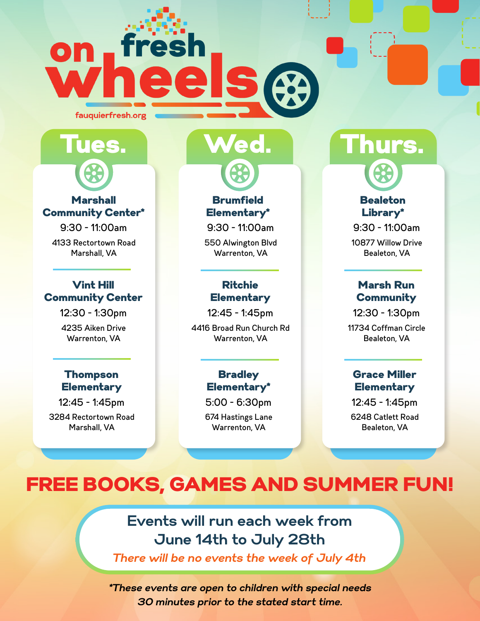



#### **Marshall** Community Center\*

9:30 - 11:00am

4133 Rectortown Road Marshall, VA

#### Vint Hill Community Center

12:30 - 1:30pm 4235 Aiken Drive Warrenton, VA

#### Thompson **Elementary**

12:45 - 1:45pm 3284 Rectortown Road Marshall, VA

**Brumfield** Elementary\*

9:30 - 11:00am

550 Alwington Blvd Warrenton, VA

#### Ritchie **Elementary**

12:45 - 1:45pm

4416 Broad Run Church Rd Warrenton, VA

#### **Bradley** Elementary\*

5:00 - 6:30pm

674 Hastings Lane Warrenton, VA

# ed. Thurs.

#### **Bealeton** Library\*

9:30 - 11:00am

10877 Willow Drive Bealeton, VA

#### Marsh Run **Community**

12:30 - 1:30pm 11734 Coffman Circle Bealeton, VA

#### Grace Miller **Elementary**

12:45 - 1:45pm 6248 Catlett Road Bealeton, VA

# FREE BOOKS, GAMES AND SUMMER FUN!

### **Events will run each week from June 14th to July 28th**

*There will be no events the week of July 4th*

*\*These events are open to children with special needs 30 minutes prior to the stated start time.*